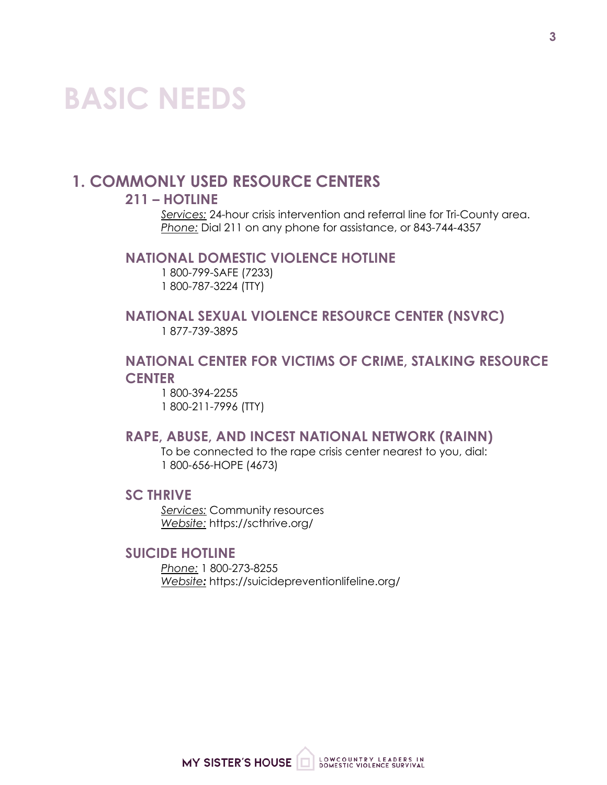# **BASIC NEEDS**

# **1. COMMONLY USED RESOURCE CENTERS**

# **211 – HOTLINE**

*Services:* 24-hour crisis intervention and referral line for Tri-County area. *Phone:* Dial 211 on any phone for assistance, or 843-744-4357

#### **NATIONAL DOMESTIC VIOLENCE HOTLINE**

1 800-799-SAFE (7233) 1 800-787-3224 (TTY)

# **NATIONAL SEXUAL VIOLENCE RESOURCE CENTER (NSVRC)** 1 877-739-3895

# **NATIONAL CENTER FOR VICTIMS OF CRIME, STALKING RESOURCE CENTER**

1 800-394-2255 1 800-211-7996 (TTY)

## **RAPE, ABUSE, AND INCEST NATIONAL NETWORK (RAINN)**

To be connected to the rape crisis center nearest to you, dial: 1 800-656-HOPE (4673)

#### **SC THRIVE**

*Services:* Community resources *Website:* https://scthrive.org/

#### **SUICIDE HOTLINE**

*Phone:* 1 800-273-8255 *Website:* https://suicidepreventionlifeline.org/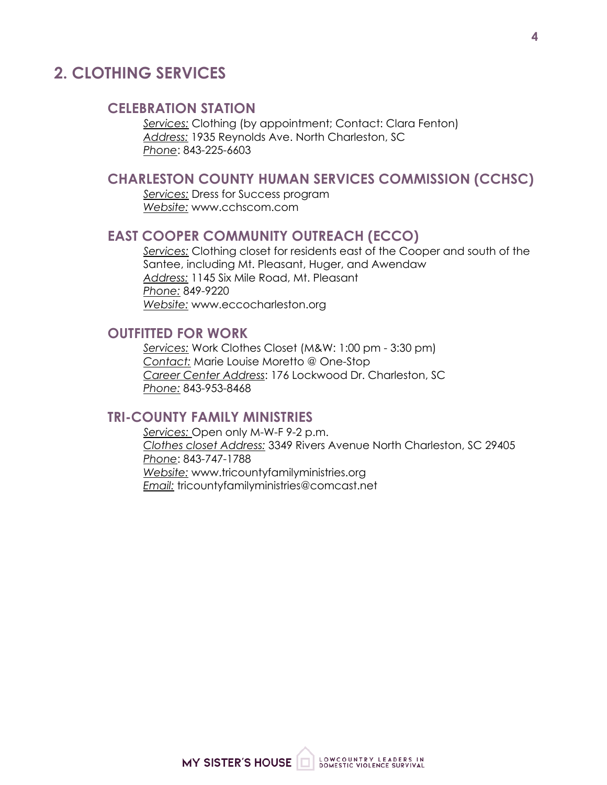# **2. CLOTHING SERVICES**

#### **CELEBRATION STATION**

*Services:* Clothing (by appointment; Contact: Clara Fenton) *Address:* 1935 Reynolds Ave. North Charleston, SC *Phone*: 843-225-6603

## **CHARLESTON COUNTY HUMAN SERVICES COMMISSION (CCHSC)**

*Services:* Dress for Success program *Website:* www.cchscom.com

#### **EAST COOPER COMMUNITY OUTREACH (ECCO)**

*Services:* Clothing closet for residents east of the Cooper and south of the Santee, including Mt. Pleasant, Huger, and Awendaw *Address:* 1145 Six Mile Road, Mt. Pleasant *Phone:* 849-9220 *Website:* www.eccocharleston.org

#### **OUTFITTED FOR WORK**

*Services:* Work Clothes Closet (M&W: 1:00 pm - 3:30 pm) *Contact:* Marie Louise Moretto @ One-Stop *Career Center Address*: 176 Lockwood Dr. Charleston, SC *Phone:* 843-953-8468

#### **TRI-COUNTY FAMILY MINISTRIES**

*Services:* Open only M-W-F 9-2 p.m. *Clothes closet Address:* 3349 Rivers Avenue North Charleston, SC 29405 *Phone*: 843-747-1788 *Website:* www.tricountyfamilyministries.org *Email:* tricountyfamilyministries@comcast.net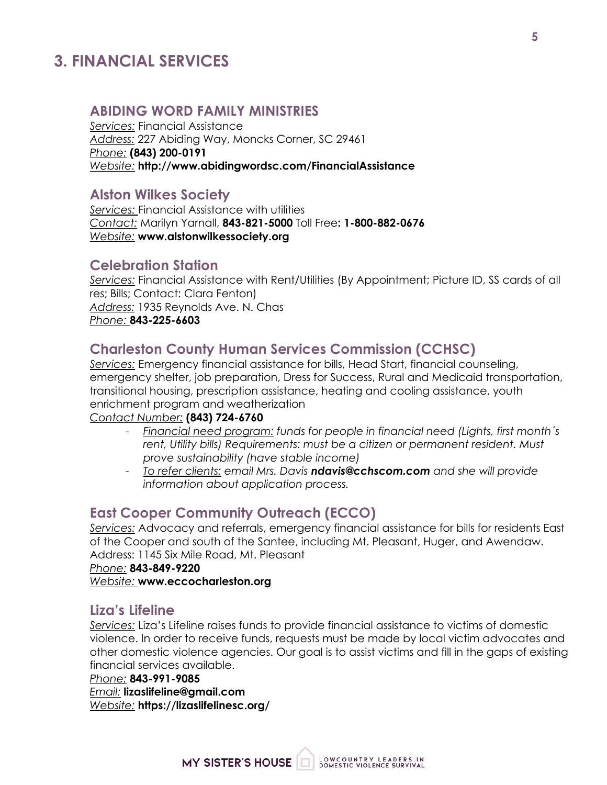# **3. FINANCIAL SERVICES**

## **ABIDING WORD FAMILY MINISTRIES**

*Services:* Financial Assistance *Address:* 227 Abiding Way, Moncks Corner, SC 29461 *Phone:* **(843) 200-0191** *Website:* **http://www.abidingwordsc.com/FinancialAssistance**

#### **Alston Wilkes Society**

*Services:* Financial Assistance with utilities *Contact:* Marilyn Yarnall, **843-821-5000** Toll Free**: 1-800-882-0676** *Website:* **www.alstonwilkessociety.org**

#### **Celebration Station**

*Services:* Financial Assistance with Rent/Utilities (By Appointment; Picture ID, SS cards of all res; Bills; Contact: Clara Fenton) *Address:* 1935 Reynolds Ave. N. Chas *Phone:* **843-225-6603**

## **Charleston County Human Services Commission (CCHSC)**

*Services:* Emergency financial assistance for bills, Head Start, financial counseling, emergency shelter, job preparation, Dress for Success, Rural and Medicaid transportation, transitional housing, prescription assistance, heating and cooling assistance, youth enrichment program and weatherization

#### *Contact Number:* **(843) 724-6760**

- *Financial need program: funds for people in financial need (Lights, first month´s rent, Utility bills) Requirements: must be a citizen or permanent resident. Must prove sustainability (have stable income)*
- *To refer clients: email Mrs. Davis ndavis@cchscom.com and she will provide information about application process.*

#### **East Cooper Community Outreach (ECCO)**

*Services:* Advocacy and referrals, emergency financial assistance for bills for residents East of the Cooper and south of the Santee, including Mt. Pleasant, Huger, and Awendaw. Address: 1145 Six Mile Road, Mt. Pleasant

*Phone:* **843-849-9220** *Website:* **www.eccocharleston.org**

#### **Liza's Lifeline**

*Services:* Liza's Lifeline raises funds to provide financial assistance to victims of domestic violence. In order to receive funds, requests must be made by local victim advocates and other domestic violence agencies. Our goal is to assist victims and fill in the gaps of existing financial services available.

#### *Phone:* **843-991-9085**

*Email:* **lizaslifeline@gmail.com** *Website:* **https://lizaslifelinesc.org/**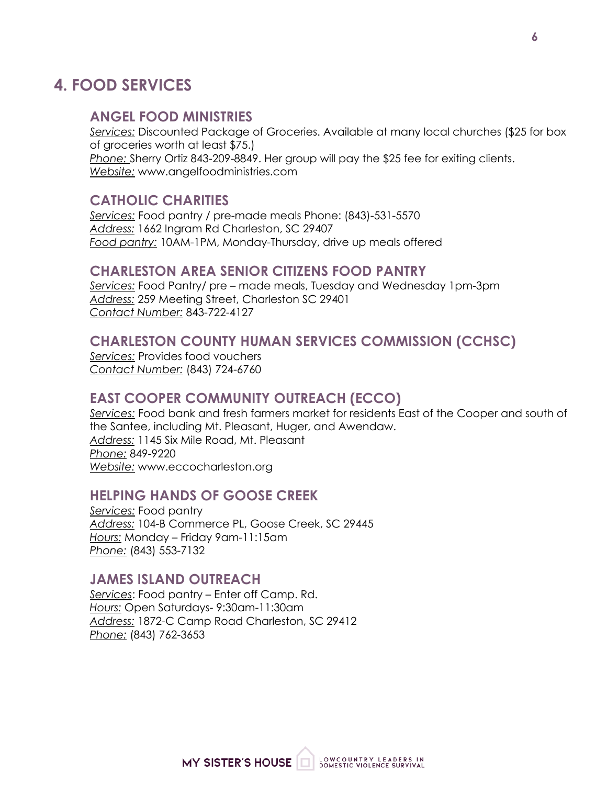# **4. FOOD SERVICES**

#### **ANGEL FOOD MINISTRIES**

*Services:* Discounted Package of Groceries. Available at many local churches (\$25 for box of groceries worth at least \$75.) *Phone:* Sherry Ortiz 843-209-8849. Her group will pay the \$25 fee for exiting clients. *Website:* www.angelfoodministries.com

#### **CATHOLIC CHARITIES**

*Services:* Food pantry / pre-made meals Phone: (843)-531-5570 *Address:* 1662 Ingram Rd Charleston, SC 29407 *Food pantry:* 10AM-1PM, Monday-Thursday, drive up meals offered

#### **CHARLESTON AREA SENIOR CITIZENS FOOD PANTRY**

*Services:* Food Pantry/ pre – made meals, Tuesday and Wednesday 1pm-3pm *Address:* 259 Meeting Street, Charleston SC 29401 *Contact Number:* 843-722-4127

#### **CHARLESTON COUNTY HUMAN SERVICES COMMISSION (CCHSC)**

*Services:* Provides food vouchers *Contact Number:* (843) 724-6760

#### **EAST COOPER COMMUNITY OUTREACH (ECCO)**

*Services:* Food bank and fresh farmers market for residents East of the Cooper and south of the Santee, including Mt. Pleasant, Huger, and Awendaw. *Address:* 1145 Six Mile Road, Mt. Pleasant *Phone:* 849-9220 *Website:* www.eccocharleston.org

#### **HELPING HANDS OF GOOSE CREEK**

*Services:* Food pantry *Address:* 104-B Commerce PL, Goose Creek, SC 29445 *Hours:* Monday – Friday 9am-11:15am *Phone:* (843) 553-7132

## **JAMES ISLAND OUTREACH**

*Services*: Food pantry – Enter off Camp. Rd. *Hours:* Open Saturdays- 9:30am-11:30am *Address:* 1872-C Camp Road Charleston, SC 29412 *Phone:* (843) 762-3653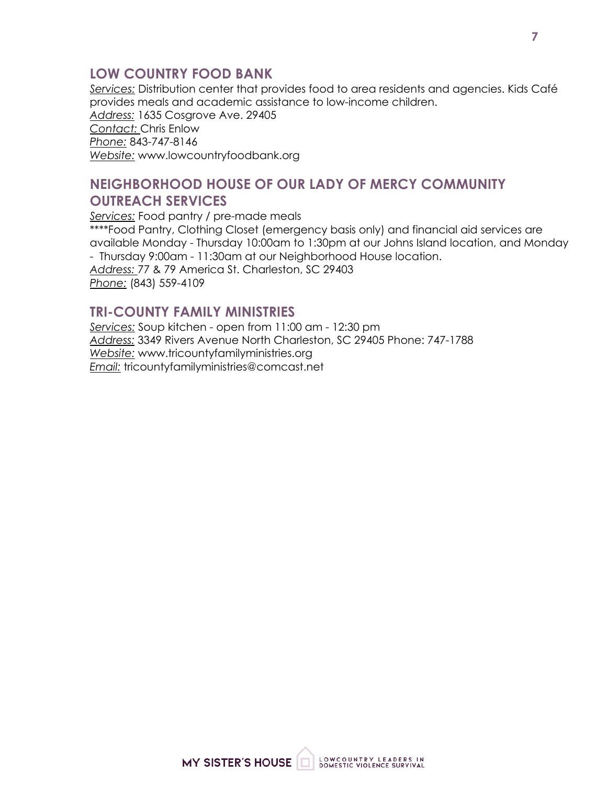# **LOW COUNTRY FOOD BANK**

*Services:* Distribution center that provides food to area residents and agencies. Kids Café provides meals and academic assistance to low-income children. *Address:* 1635 Cosgrove Ave. 29405 *Contact:* Chris Enlow *Phone:* 843-747-8146 *Website:* www.lowcountryfoodbank.org

# **NEIGHBORHOOD HOUSE OF OUR LADY OF MERCY COMMUNITY OUTREACH SERVICES**

*Services:* Food pantry / pre-made meals \*\*\*\*Food Pantry, Clothing Closet (emergency basis only) and financial aid services are available Monday - Thursday 10:00am to 1:30pm at our Johns Island location, and Monday - Thursday 9:00am - 11:30am at our Neighborhood House location. *Address:* 77 & 79 America St. Charleston, SC 29403 *Phone:* (843) 559-4109

# **TRI-COUNTY FAMILY MINISTRIES**

*Services:* Soup kitchen - open from 11:00 am - 12:30 pm *Address:* 3349 Rivers Avenue North Charleston, SC 29405 Phone: 747-1788 *Website:* www.tricountyfamilyministries.org *Email:* tricountyfamilyministries@comcast.net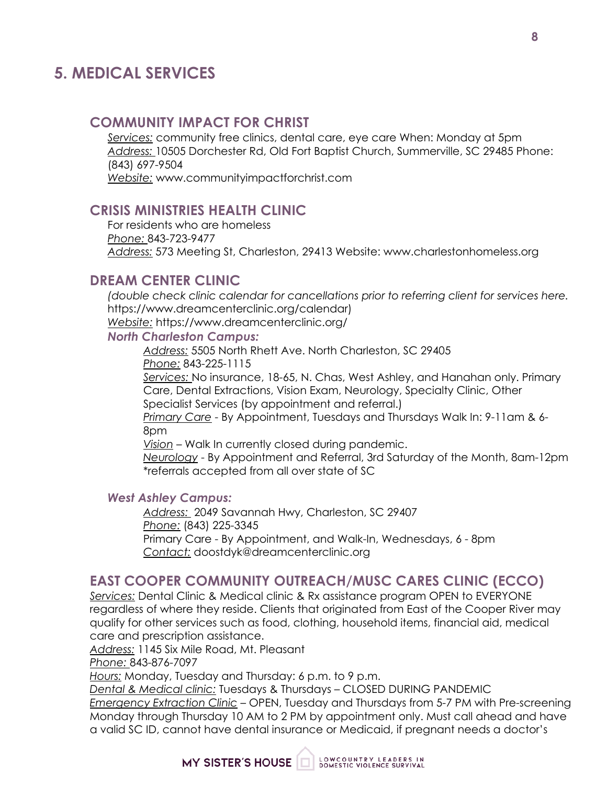# **5. MEDICAL SERVICES**

## **COMMUNITY IMPACT FOR CHRIST**

*Services:* community free clinics, dental care, eye care When: Monday at 5pm *Address:* 10505 Dorchester Rd, Old Fort Baptist Church, Summerville, SC 29485 Phone: (843) 697-9504 *Website:* www.communityimpactforchrist.com

#### **CRISIS MINISTRIES HEALTH CLINIC**

For residents who are homeless *Phone:* 843-723-9477 *Address:* 573 Meeting St, Charleston, 29413 Website: www.charlestonhomeless.org

## **DREAM CENTER CLINIC**

*(double check clinic calendar for cancellations prior to referring client for services here.* https://www.dreamcenterclinic.org/calendar) *Website:* https://www.dreamcenterclinic.org/

#### *North Charleston Campus:*

*Address:* 5505 North Rhett Ave. North Charleston, SC 29405

*Phone:* 843-225-1115

*Services:* No insurance, 18-65, N. Chas, West Ashley, and Hanahan only. Primary Care, Dental Extractions, Vision Exam, Neurology, Specialty Clinic, Other Specialist Services (by appointment and referral.)

*Primary Care* - By Appointment, Tuesdays and Thursdays Walk In: 9-11am & 6- 8pm

*Vision* – Walk In currently closed during pandemic.

*Neurology* - By Appointment and Referral, 3rd Saturday of the Month, 8am-12pm \*referrals accepted from all over state of SC

#### *West Ashley Campus:*

*Address:* 2049 Savannah Hwy, Charleston, SC 29407 *Phone:* (843) 225-3345 Primary Care - By Appointment, and Walk-In, Wednesdays, 6 - 8pm *Contact:* doostdyk@dreamcenterclinic.org

# **EAST COOPER COMMUNITY OUTREACH/MUSC CARES CLINIC (ECCO)**

*Services:* Dental Clinic & Medical clinic & Rx assistance program OPEN to EVERYONE regardless of where they reside. Clients that originated from East of the Cooper River may qualify for other services such as food, clothing, household items, financial aid, medical care and prescription assistance.

*Address:* 1145 Six Mile Road, Mt. Pleasant

*Phone:* 843-876-7097

*Hours:* Monday, Tuesday and Thursday: 6 p.m. to 9 p.m.

*Dental & Medical clinic:* Tuesdays & Thursdays – CLOSED DURING PANDEMIC *Emergency Extraction Clinic* – OPEN, Tuesday and Thursdays from 5-7 PM with Pre-screening Monday through Thursday 10 AM to 2 PM by appointment only. Must call ahead and have a valid SC ID, cannot have dental insurance or Medicaid, if pregnant needs a doctor's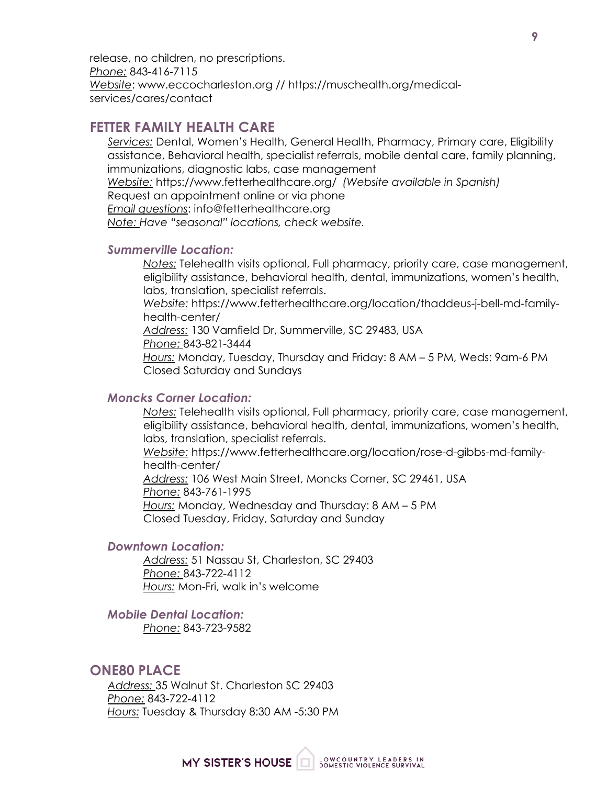release, no children, no prescriptions. *Phone:* 843-416-7115 *Website*: www.eccocharleston.org // https://muschealth.org/medicalservices/cares/contact

## **FETTER FAMILY HEALTH CARE**

*Services:* Dental, Women's Health, General Health, Pharmacy, Primary care, Eligibility assistance, Behavioral health, specialist referrals, mobile dental care, family planning, immunizations, diagnostic labs, case management

*Website:* https://www.fetterhealthcare.org/ *(Website available in Spanish)*

Request an appointment online or via phone

*Email questions*: info@fetterhealthcare.org

*Note: Have "seasonal" locations, check website.*

#### *Summerville Location:*

*Notes:* Telehealth visits optional, Full pharmacy, priority care, case management, eligibility assistance, behavioral health, dental, immunizations, women's health, labs, translation, specialist referrals.

*Website:* https://www.fetterhealthcare.org/location/thaddeus-j-bell-md-familyhealth-center/

*Address:* 130 Varnfield Dr, Summerville, SC 29483, USA

*Phone:* 843-821-3444

*Hours:* Monday, Tuesday, Thursday and Friday: 8 AM – 5 PM, Weds: 9am-6 PM Closed Saturday and Sundays

#### *Moncks Corner Location:*

*Notes:* Telehealth visits optional, Full pharmacy, priority care, case management, eligibility assistance, behavioral health, dental, immunizations, women's health, labs, translation, specialist referrals.

*Website:* https://www.fetterhealthcare.org/location/rose-d-gibbs-md-familyhealth-center/ *Address:* 106 West Main Street, Moncks Corner, SC 29461, USA *Phone:* 843-761-1995 *Hours:* Monday, Wednesday and Thursday: 8 AM – 5 PM Closed Tuesday, Friday, Saturday and Sunday

#### *Downtown Location:*

*Address:* 51 Nassau St, Charleston, SC 29403 *Phone:* 843-722-4112 *Hours:* Mon-Fri, walk in's welcome

#### *Mobile Dental Location:*

*Phone:* 843-723-9582

#### **ONE80 PLACE**

*Address:* 35 Walnut St. Charleston SC 29403 *Phone:* 843-722-4112 *Hours:* Tuesday & Thursday 8:30 AM -5:30 PM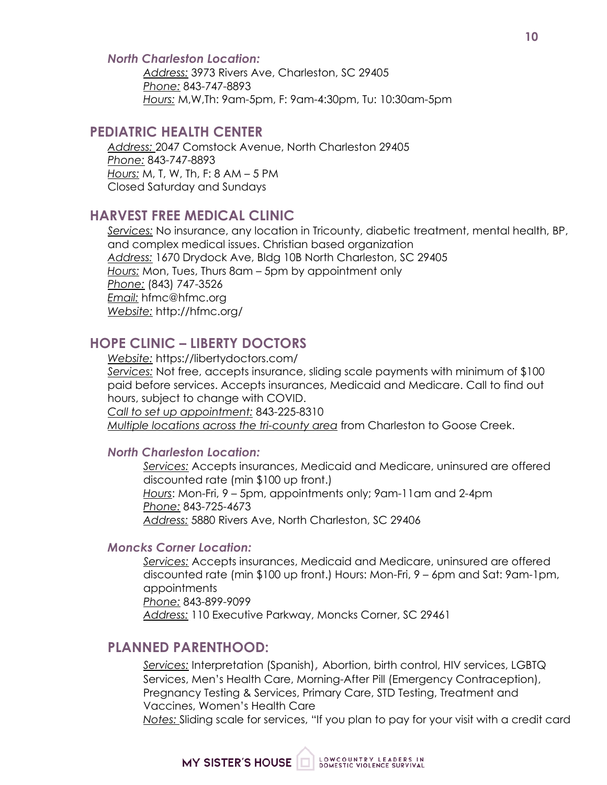#### *North Charleston Location:*

*Address:* 3973 Rivers Ave, Charleston, SC 29405 *Phone:* 843-747-8893 *Hours:* M,W,Th: 9am-5pm, F: 9am-4:30pm, Tu: 10:30am-5pm

#### **PEDIATRIC HEALTH CENTER**

*Address:* 2047 Comstock Avenue, North Charleston 29405 *Phone:* 843-747-8893 *Hours:* M, T, W, Th, F: 8 AM – 5 PM Closed Saturday and Sundays

#### **HARVEST FREE MEDICAL CLINIC**

*Services:* No insurance, any location in Tricounty, diabetic treatment, mental health, BP, and complex medical issues. Christian based organization *Address:* 1670 Drydock Ave, Bldg 10B North Charleston, SC 29405 *Hours:* Mon, Tues, Thurs 8am – 5pm by appointment only *Phone:* (843) 747-3526 *Email:* hfmc@hfmc.org *Website:* http://hfmc.org/

# **HOPE CLINIC – LIBERTY DOCTORS**

*Website:* https://libertydoctors.com/ *Services:* Not free, accepts insurance, sliding scale payments with minimum of \$100 paid before services. Accepts insurances, Medicaid and Medicare. Call to find out hours, subject to change with COVID. *Call to set up appointment:* 843-225-8310 *Multiple locations across the tri-county area* from Charleston to Goose Creek.

#### *North Charleston Location:*

*Services:* Accepts insurances, Medicaid and Medicare, uninsured are offered discounted rate (min \$100 up front.) *Hours*: Mon-Fri, 9 – 5pm, appointments only; 9am-11am and 2-4pm *Phone:* 843-725-4673 *Address:* 5880 Rivers Ave, North Charleston, SC 29406

#### *Moncks Corner Location:*

*Services:* Accepts insurances, Medicaid and Medicare, uninsured are offered discounted rate (min \$100 up front.) Hours: Mon-Fri, 9 – 6pm and Sat: 9am-1pm, appointments *Phone:* 843-899-9099 *Address:* 110 Executive Parkway, Moncks Corner, SC 29461

#### **PLANNED PARENTHOOD:**

*Services:* Interpretation (Spanish)**,** Abortion, birth control, HIV services, LGBTQ Services, Men's Health Care, Morning-After Pill (Emergency Contraception), Pregnancy Testing & Services, Primary Care, STD Testing, Treatment and Vaccines, Women's Health Care

*Notes:* Sliding scale for services, "If you plan to pay for your visit with a credit card